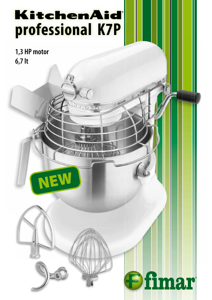## KitchenAid **professional K7P**

**1,3 HP motor 6,7 lt**





**Ofimar**